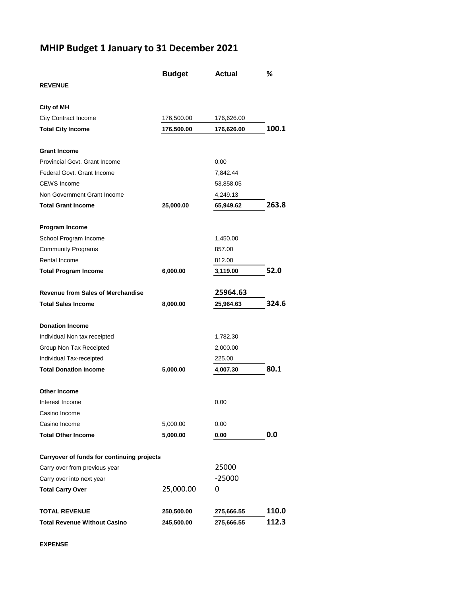## **MHIP Budget 1 January to 31 December 2021**

|                                            | <b>Budget</b> | <b>Actual</b> | %     |
|--------------------------------------------|---------------|---------------|-------|
| <b>REVENUE</b>                             |               |               |       |
| City of MH                                 |               |               |       |
| City Contract Income                       | 176,500.00    | 176,626.00    |       |
| <b>Total City Income</b>                   | 176,500.00    | 176,626.00    | 100.1 |
| <b>Grant Income</b>                        |               |               |       |
| Provincial Govt. Grant Income              |               | 0.00          |       |
| Federal Govt. Grant Income                 |               | 7,842.44      |       |
| <b>CEWS</b> Income                         |               | 53,858.05     |       |
| Non Government Grant Income                |               | 4,249.13      |       |
| <b>Total Grant Income</b>                  | 25,000.00     | 65,949.62     | 263.8 |
| Program Income                             |               |               |       |
| School Program Income                      |               | 1,450.00      |       |
| <b>Community Programs</b>                  |               | 857.00        |       |
| Rental Income                              |               | 812.00        |       |
| <b>Total Program Income</b>                | 6,000.00      | 3,119.00      | 52.0  |
| <b>Revenue from Sales of Merchandise</b>   |               | 25964.63      |       |
| <b>Total Sales Income</b>                  | 8,000.00      | 25,964.63     | 324.6 |
| <b>Donation Income</b>                     |               |               |       |
| Individual Non tax receipted               |               | 1,782.30      |       |
| Group Non Tax Receipted                    |               | 2,000.00      |       |
| Individual Tax-receipted                   |               | 225.00        |       |
| <b>Total Donation Income</b>               | 5,000.00      | 4,007.30      | 80.1  |
| Other Income                               |               |               |       |
| Interest Income                            |               | 0.00          |       |
| Casino Income                              |               |               |       |
| Casino Income                              | 5,000.00      | 0.00          |       |
| <b>Total Other Income</b>                  | 5,000.00      | 0.00          | 0.0   |
| Carryover of funds for continuing projects |               |               |       |
| Carry over from previous year              |               | 25000         |       |
| Carry over into next year                  |               | $-25000$      |       |
| <b>Total Carry Over</b>                    | 25,000.00     | 0             |       |
| <b>TOTAL REVENUE</b>                       | 250,500.00    | 275,666.55    | 110.0 |
| Total Revenue Without Casino               | 245,500.00    | 275,666.55    | 112.3 |

**EXPENSE**